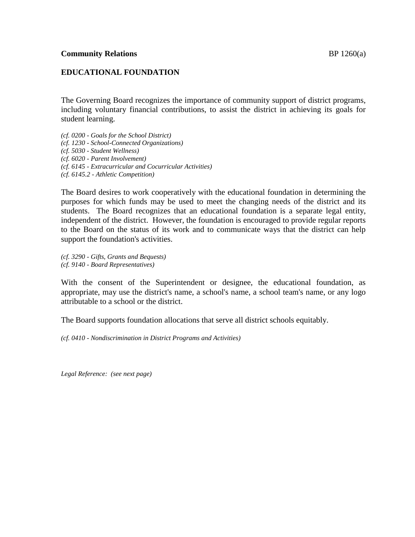## **EDUCATIONAL FOUNDATION**

The Governing Board recognizes the importance of community support of district programs, including voluntary financial contributions, to assist the district in achieving its goals for student learning.

*(cf. 0200 - Goals for the School District)*

*(cf. 1230 - School-Connected Organizations)*

*(cf. 5030 - Student Wellness)*

*(cf. 6020 - Parent Involvement)*

- *(cf. 6145 - Extracurricular and Cocurricular Activities)*
- *(cf. 6145.2 - Athletic Competition)*

The Board desires to work cooperatively with the educational foundation in determining the purposes for which funds may be used to meet the changing needs of the district and its students. The Board recognizes that an educational foundation is a separate legal entity, independent of the district. However, the foundation is encouraged to provide regular reports to the Board on the status of its work and to communicate ways that the district can help support the foundation's activities.

*(cf. 3290 - Gifts, Grants and Bequests) (cf. 9140 - Board Representatives)*

With the consent of the Superintendent or designee, the educational foundation, as appropriate, may use the district's name, a school's name, a school team's name, or any logo attributable to a school or the district.

The Board supports foundation allocations that serve all district schools equitably.

*(cf. 0410 - Nondiscrimination in District Programs and Activities)*

*Legal Reference: (see next page)*